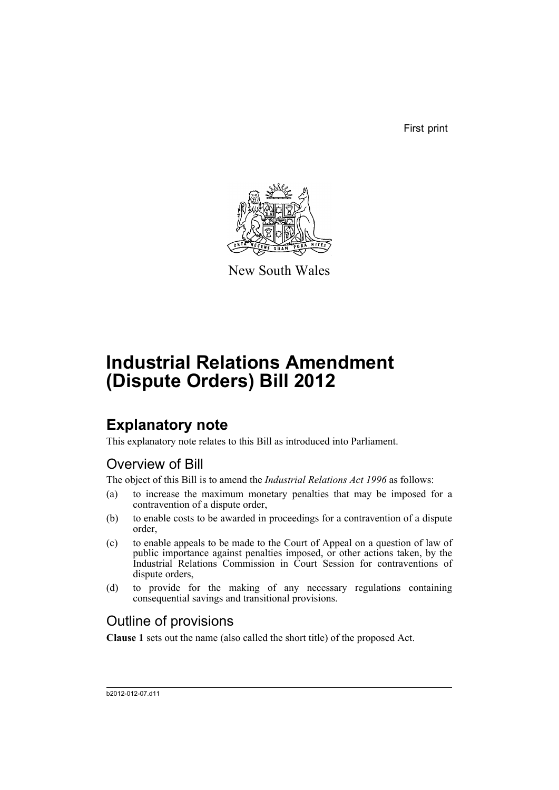First print



New South Wales

# **Industrial Relations Amendment (Dispute Orders) Bill 2012**

## **Explanatory note**

This explanatory note relates to this Bill as introduced into Parliament.

### Overview of Bill

The object of this Bill is to amend the *Industrial Relations Act 1996* as follows:

- (a) to increase the maximum monetary penalties that may be imposed for a contravention of a dispute order,
- (b) to enable costs to be awarded in proceedings for a contravention of a dispute order,
- (c) to enable appeals to be made to the Court of Appeal on a question of law of public importance against penalties imposed, or other actions taken, by the Industrial Relations Commission in Court Session for contraventions of dispute orders,
- (d) to provide for the making of any necessary regulations containing consequential savings and transitional provisions.

### Outline of provisions

**Clause 1** sets out the name (also called the short title) of the proposed Act.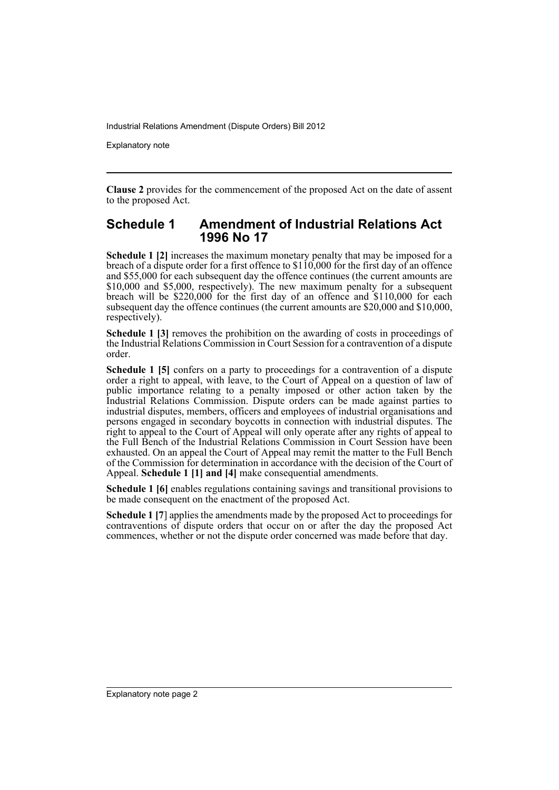Industrial Relations Amendment (Dispute Orders) Bill 2012

Explanatory note

**Clause 2** provides for the commencement of the proposed Act on the date of assent to the proposed Act.

#### **Schedule 1 Amendment of Industrial Relations Act 1996 No 17**

**Schedule 1 [2]** increases the maximum monetary penalty that may be imposed for a breach of a dispute order for a first offence to  $$110,000$  for the first day of an offence and \$55,000 for each subsequent day the offence continues (the current amounts are \$10,000 and \$5,000, respectively). The new maximum penalty for a subsequent breach will be \$220,000 for the first day of an offence and \$110,000 for each subsequent day the offence continues (the current amounts are \$20,000 and \$10,000, respectively).

**Schedule 1 [3]** removes the prohibition on the awarding of costs in proceedings of the Industrial Relations Commission in Court Session for a contravention of a dispute order.

**Schedule 1 [5]** confers on a party to proceedings for a contravention of a dispute order a right to appeal, with leave, to the Court of Appeal on a question of law of public importance relating to a penalty imposed or other action taken by the Industrial Relations Commission. Dispute orders can be made against parties to industrial disputes, members, officers and employees of industrial organisations and persons engaged in secondary boycotts in connection with industrial disputes. The right to appeal to the Court of Appeal will only operate after any rights of appeal to the Full Bench of the Industrial Relations Commission in Court Session have been exhausted. On an appeal the Court of Appeal may remit the matter to the Full Bench of the Commission for determination in accordance with the decision of the Court of Appeal. **Schedule 1 [1] and [4]** make consequential amendments.

**Schedule 1 [6]** enables regulations containing savings and transitional provisions to be made consequent on the enactment of the proposed Act.

**Schedule 1 [7**] applies the amendments made by the proposed Act to proceedings for contraventions of dispute orders that occur on or after the day the proposed Act commences, whether or not the dispute order concerned was made before that day.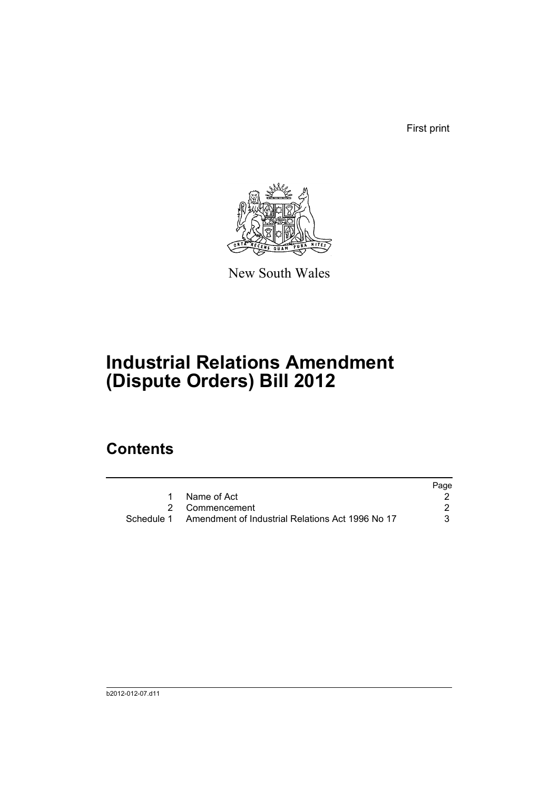First print



New South Wales

# **Industrial Relations Amendment (Dispute Orders) Bill 2012**

## **Contents**

|            |                                                  | Page |
|------------|--------------------------------------------------|------|
|            | Name of Act                                      |      |
|            | 2 Commencement                                   |      |
| Schedule 1 | Amendment of Industrial Relations Act 1996 No 17 |      |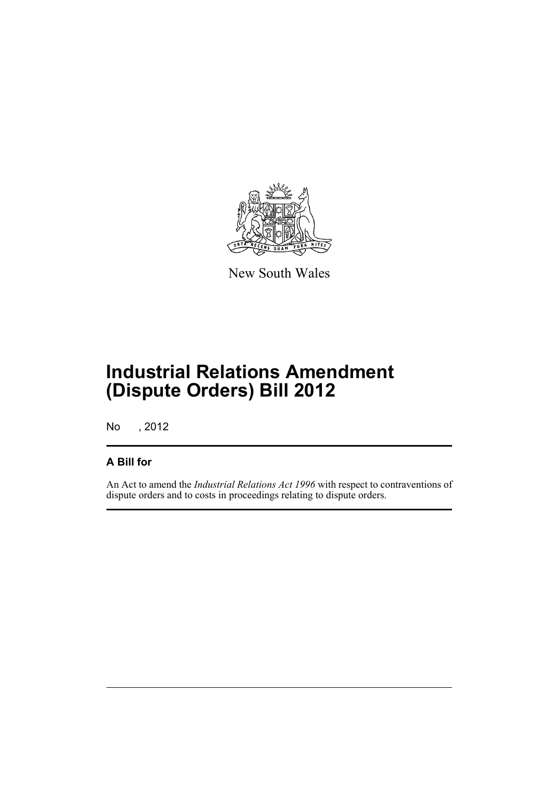

New South Wales

## **Industrial Relations Amendment (Dispute Orders) Bill 2012**

No , 2012

#### **A Bill for**

An Act to amend the *Industrial Relations Act 1996* with respect to contraventions of dispute orders and to costs in proceedings relating to dispute orders.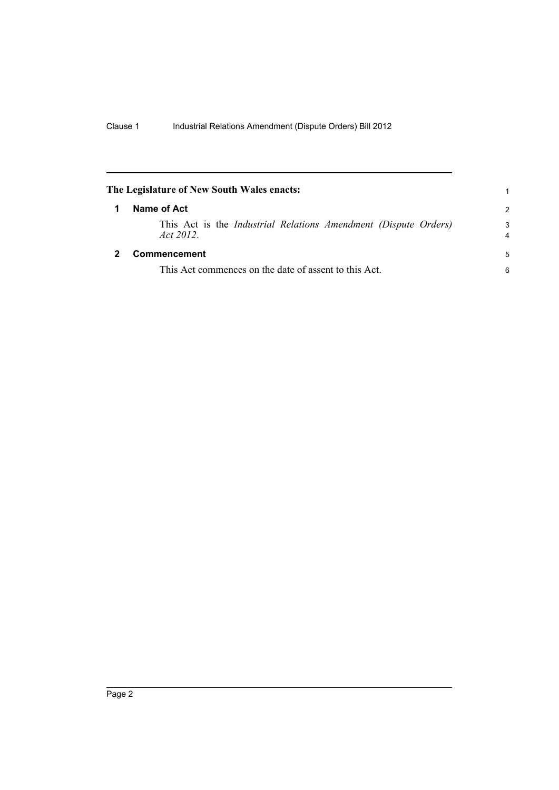<span id="page-5-1"></span><span id="page-5-0"></span>

| The Legislature of New South Wales enacts: |                                                                                    |                     |  |  |
|--------------------------------------------|------------------------------------------------------------------------------------|---------------------|--|--|
|                                            | Name of Act                                                                        |                     |  |  |
|                                            | This Act is the <i>Industrial Relations Amendment (Dispute Orders)</i><br>Act 2012 | 3<br>$\overline{4}$ |  |  |
|                                            | Commencement                                                                       | 5                   |  |  |
|                                            | This Act commences on the date of assent to this Act.                              | 6                   |  |  |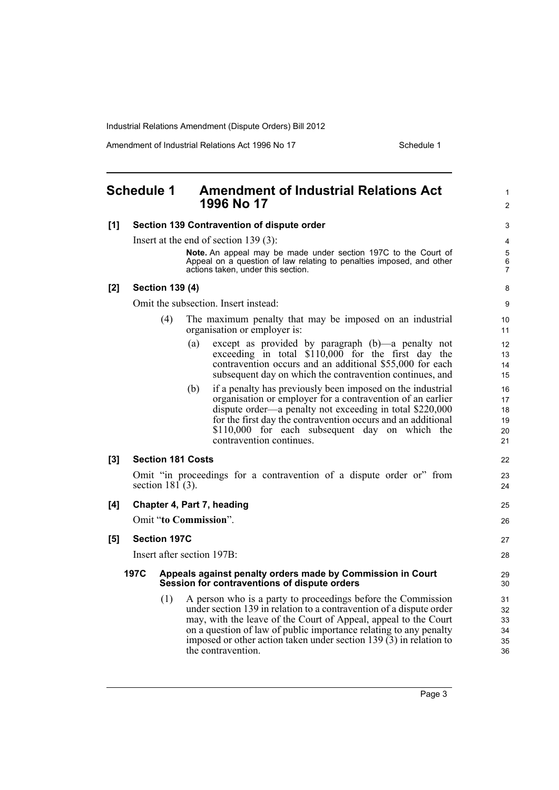Industrial Relations Amendment (Dispute Orders) Bill 2012

Amendment of Industrial Relations Act 1996 No 17 Schedule 1

<span id="page-6-0"></span>

|     | <b>Schedule 1</b>                                                                                                  |                          | <b>Amendment of Industrial Relations Act</b><br>1996 No 17                                                                                                                                                                                                                                                                                                                | $\mathbf{1}$<br>$\overline{c}$   |  |
|-----|--------------------------------------------------------------------------------------------------------------------|--------------------------|---------------------------------------------------------------------------------------------------------------------------------------------------------------------------------------------------------------------------------------------------------------------------------------------------------------------------------------------------------------------------|----------------------------------|--|
| [1] | Section 139 Contravention of dispute order                                                                         |                          |                                                                                                                                                                                                                                                                                                                                                                           |                                  |  |
|     | Insert at the end of section $139(3)$ :                                                                            |                          |                                                                                                                                                                                                                                                                                                                                                                           |                                  |  |
|     |                                                                                                                    |                          | Note. An appeal may be made under section 197C to the Court of<br>Appeal on a question of law relating to penalties imposed, and other<br>actions taken, under this section.                                                                                                                                                                                              | 5<br>$\,6\,$<br>$\overline{7}$   |  |
| [2] | <b>Section 139 (4)</b>                                                                                             |                          |                                                                                                                                                                                                                                                                                                                                                                           |                                  |  |
|     | Omit the subsection. Insert instead:                                                                               |                          |                                                                                                                                                                                                                                                                                                                                                                           |                                  |  |
|     |                                                                                                                    | (4)                      | The maximum penalty that may be imposed on an industrial<br>organisation or employer is:                                                                                                                                                                                                                                                                                  | 10 <sup>°</sup><br>11            |  |
|     |                                                                                                                    | (a)                      | except as provided by paragraph (b)—a penalty not<br>exceeding in total \$110,000 for the first day the<br>contravention occurs and an additional \$55,000 for each<br>subsequent day on which the contravention continues, and                                                                                                                                           | 12<br>13<br>14<br>15             |  |
|     |                                                                                                                    | (b)                      | if a penalty has previously been imposed on the industrial<br>organisation or employer for a contravention of an earlier<br>dispute order—a penalty not exceeding in total \$220,000<br>for the first day the contravention occurs and an additional<br>\$110,000 for each subsequent day on which the<br>contravention continues.                                        | 16<br>17<br>18<br>19<br>20<br>21 |  |
| [3] |                                                                                                                    | <b>Section 181 Costs</b> |                                                                                                                                                                                                                                                                                                                                                                           | 22                               |  |
|     |                                                                                                                    | section $181(3)$ .       | Omit "in proceedings for a contravention of a dispute order or" from                                                                                                                                                                                                                                                                                                      | 23<br>24                         |  |
| [4] |                                                                                                                    |                          | Chapter 4, Part 7, heading                                                                                                                                                                                                                                                                                                                                                | 25                               |  |
|     | Omit "to Commission".                                                                                              |                          |                                                                                                                                                                                                                                                                                                                                                                           |                                  |  |
| [5] | <b>Section 197C</b>                                                                                                |                          |                                                                                                                                                                                                                                                                                                                                                                           | 27                               |  |
|     | Insert after section 197B:                                                                                         |                          |                                                                                                                                                                                                                                                                                                                                                                           | 28                               |  |
|     | 197C<br>Appeals against penalty orders made by Commission in Court<br>Session for contraventions of dispute orders |                          |                                                                                                                                                                                                                                                                                                                                                                           | 29<br>30                         |  |
|     |                                                                                                                    | (1)                      | A person who is a party to proceedings before the Commission<br>under section 139 in relation to a contravention of a dispute order<br>may, with the leave of the Court of Appeal, appeal to the Court<br>on a question of law of public importance relating to any penalty<br>imposed or other action taken under section 139 $(3)$ in relation to<br>the contravention. | 31<br>32<br>33<br>34<br>35<br>36 |  |